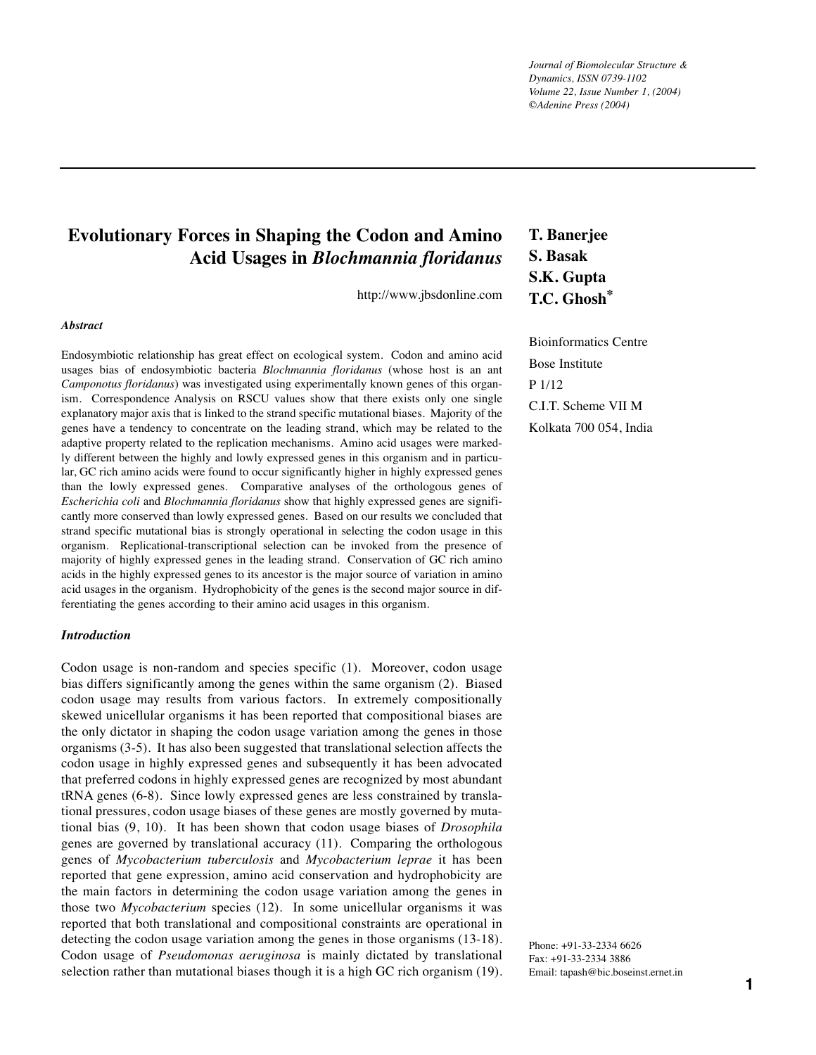*Journal of Biomolecular Structure & Dynamics, ISSN 0739-1102 Volume 22, Issue Number 1, (2004) ©Adenine Press (2004)*

# **Evolutionary Forces in Shaping the Codon and Amino Acid Usages in** *Blochmannia floridanus*

http://www.jbsdonline.com

#### *Abstract*

Endosymbiotic relationship has great effect on ecological system. Codon and amino acid usages bias of endosymbiotic bacteria *Blochmannia floridanus* (whose host is an ant *Camponotus floridanus*) was investigated using experimentally known genes of this organism. Correspondence Analysis on RSCU values show that there exists only one single explanatory major axis that is linked to the strand specific mutational biases. Majority of the genes have a tendency to concentrate on the leading strand, which may be related to the adaptive property related to the replication mechanisms. Amino acid usages were markedly different between the highly and lowly expressed genes in this organism and in particular, GC rich amino acids were found to occur significantly higher in highly expressed genes than the lowly expressed genes. Comparative analyses of the orthologous genes of *Escherichia coli* and *Blochmannia floridanus* show that highly expressed genes are significantly more conserved than lowly expressed genes. Based on our results we concluded that strand specific mutational bias is strongly operational in selecting the codon usage in this organism. Replicational-transcriptional selection can be invoked from the presence of majority of highly expressed genes in the leading strand. Conservation of GC rich amino acids in the highly expressed genes to its ancestor is the major source of variation in amino acid usages in the organism. Hydrophobicity of the genes is the second major source in differentiating the genes according to their amino acid usages in this organism.

#### *Introduction*

Codon usage is non-random and species specific (1). Moreover, codon usage bias differs significantly among the genes within the same organism (2). Biased codon usage may results from various factors. In extremely compositionally skewed unicellular organisms it has been reported that compositional biases are the only dictator in shaping the codon usage variation among the genes in those organisms (3-5). It has also been suggested that translational selection affects the codon usage in highly expressed genes and subsequently it has been advocated that preferred codons in highly expressed genes are recognized by most abundant tRNA genes (6-8). Since lowly expressed genes are less constrained by translational pressures, codon usage biases of these genes are mostly governed by mutational bias (9, 10). It has been shown that codon usage biases of *Drosophila* genes are governed by translational accuracy (11). Comparing the orthologous genes of *Mycobacterium tuberculosis* and *Mycobacterium leprae* it has been reported that gene expression, amino acid conservation and hydrophobicity are the main factors in determining the codon usage variation among the genes in those two *Mycobacterium* species (12). In some unicellular organisms it was reported that both translational and compositional constraints are operational in detecting the codon usage variation among the genes in those organisms (13-18). Codon usage of *Pseudomonas aeruginosa* is mainly dictated by translational selection rather than mutational biases though it is a high GC rich organism (19).

# **T. Banerjee S. Basak S.K. Gupta T.C. Ghosh\***

Bioinformatics Centre Bose Institute P 1/12 C.I.T. Scheme VII M Kolkata 700 054, India

Phone: +91-33-2334 6626 Fax: +91-33-2334 3886 Email: tapash@bic.boseinst.ernet.in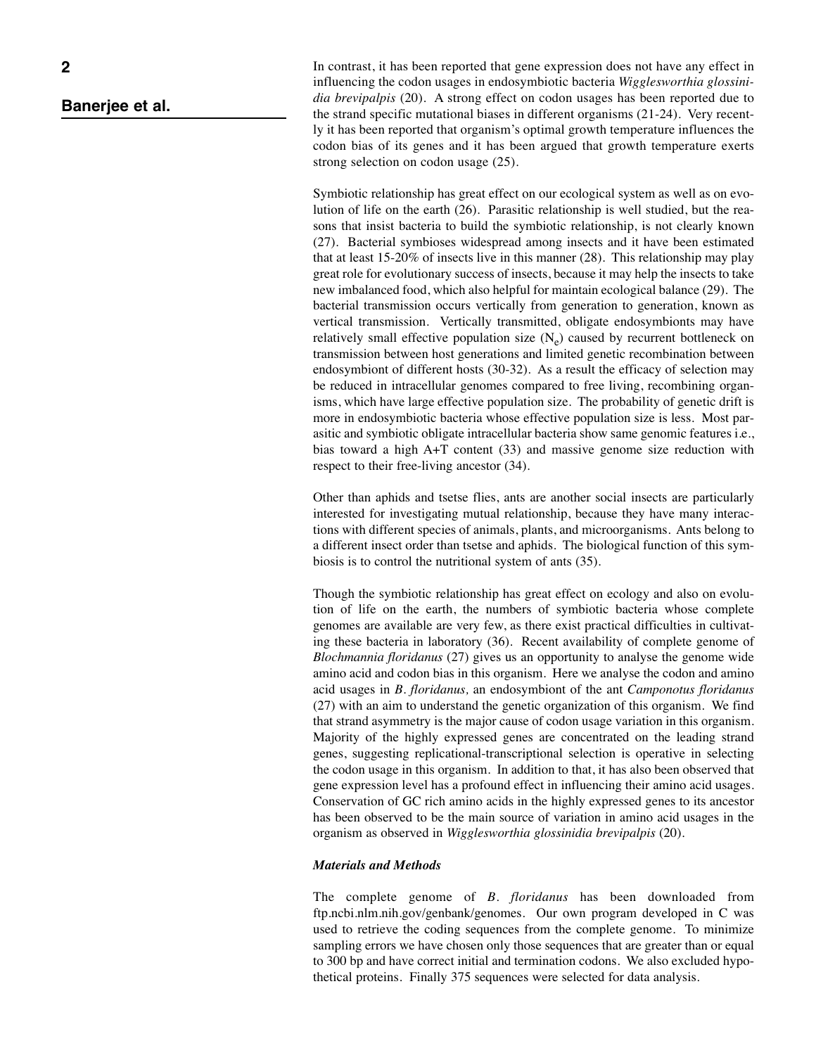In contrast, it has been reported that gene expression does not have any effect in influencing the codon usages in endosymbiotic bacteria *Wigglesworthia glossinidia brevipalpis* (20)*.* A strong effect on codon usages has been reported due to the strand specific mutational biases in different organisms (21-24). Very recently it has been reported that organism's optimal growth temperature influences the codon bias of its genes and it has been argued that growth temperature exerts strong selection on codon usage (25).

Symbiotic relationship has great effect on our ecological system as well as on evolution of life on the earth (26). Parasitic relationship is well studied, but the reasons that insist bacteria to build the symbiotic relationship, is not clearly known (27). Bacterial symbioses widespread among insects and it have been estimated that at least 15-20% of insects live in this manner (28). This relationship may play great role for evolutionary success of insects, because it may help the insects to take new imbalanced food, which also helpful for maintain ecological balance (29). The bacterial transmission occurs vertically from generation to generation, known as vertical transmission. Vertically transmitted, obligate endosymbionts may have relatively small effective population size  $(N_e)$  caused by recurrent bottleneck on transmission between host generations and limited genetic recombination between endosymbiont of different hosts (30-32). As a result the efficacy of selection may be reduced in intracellular genomes compared to free living, recombining organisms, which have large effective population size. The probability of genetic drift is more in endosymbiotic bacteria whose effective population size is less. Most parasitic and symbiotic obligate intracellular bacteria show same genomic features i.e., bias toward a high A+T content (33) and massive genome size reduction with respect to their free-living ancestor (34).

Other than aphids and tsetse flies, ants are another social insects are particularly interested for investigating mutual relationship, because they have many interactions with different species of animals, plants, and microorganisms. Ants belong to a different insect order than tsetse and aphids. The biological function of this symbiosis is to control the nutritional system of ants (35).

Though the symbiotic relationship has great effect on ecology and also on evolution of life on the earth, the numbers of symbiotic bacteria whose complete genomes are available are very few, as there exist practical difficulties in cultivating these bacteria in laboratory (36). Recent availability of complete genome of *Blochmannia floridanus* (27) gives us an opportunity to analyse the genome wide amino acid and codon bias in this organism. Here we analyse the codon and amino acid usages in *B. floridanus,* an endosymbiont of the ant *Camponotus floridanus* (27) with an aim to understand the genetic organization of this organism. We find that strand asymmetry is the major cause of codon usage variation in this organism. Majority of the highly expressed genes are concentrated on the leading strand genes, suggesting replicational-transcriptional selection is operative in selecting the codon usage in this organism. In addition to that, it has also been observed that gene expression level has a profound effect in influencing their amino acid usages. Conservation of GC rich amino acids in the highly expressed genes to its ancestor has been observed to be the main source of variation in amino acid usages in the organism as observed in *Wigglesworthia glossinidia brevipalpis* (20)*.*

## *Materials and Methods*

The complete genome of *B. floridanus* has been downloaded from ftp.ncbi.nlm.nih.gov/genbank/genomes. Our own program developed in C was used to retrieve the coding sequences from the complete genome. To minimize sampling errors we have chosen only those sequences that are greater than or equal to 300 bp and have correct initial and termination codons. We also excluded hypothetical proteins. Finally 375 sequences were selected for data analysis.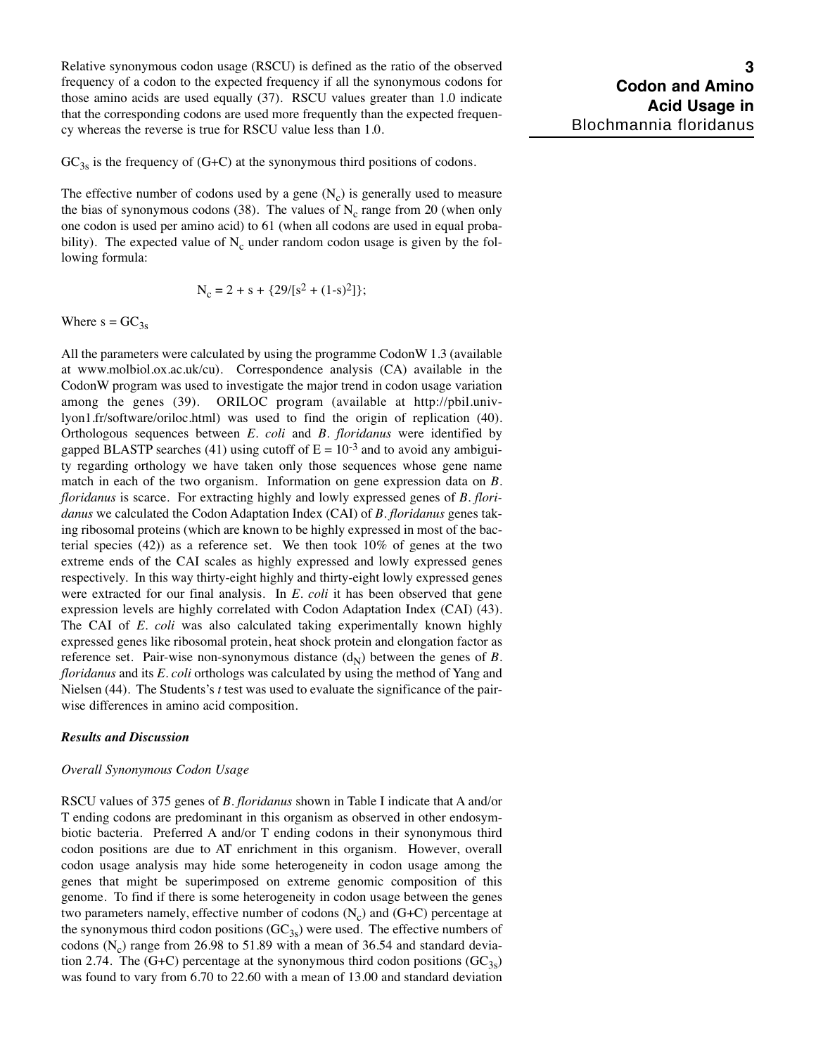Relative synonymous codon usage (RSCU) is defined as the ratio of the observed frequency of a codon to the expected frequency if all the synonymous codons for those amino acids are used equally (37). RSCU values greater than 1.0 indicate that the corresponding codons are used more frequently than the expected frequency whereas the reverse is true for RSCU value less than 1.0.

 $GC<sub>3s</sub>$  is the frequency of (G+C) at the synonymous third positions of codons.

The effective number of codons used by a gene  $(N_c)$  is generally used to measure the bias of synonymous codons (38). The values of  $N_c$  range from 20 (when only one codon is used per amino acid) to 61 (when all codons are used in equal probability). The expected value of  $N_c$  under random codon usage is given by the following formula:

$$
N_c = 2 + s + \{29/[s^2 + (1-s)^2]\};
$$

Where  $s = GC_{3s}$ 

All the parameters were calculated by using the programme CodonW 1.3 (available at www.molbiol.ox.ac.uk/cu). Correspondence analysis (CA) available in the CodonW program was used to investigate the major trend in codon usage variation among the genes (39). ORILOC program (available at http://pbil.univlyon1.fr/software/oriloc.html) was used to find the origin of replication (40). Orthologous sequences between *E. coli* and *B. floridanus* were identified by gapped BLASTP searches (41) using cutoff of  $E = 10^{-3}$  and to avoid any ambiguity regarding orthology we have taken only those sequences whose gene name match in each of the two organism. Information on gene expression data on *B. floridanus* is scarce. For extracting highly and lowly expressed genes of *B. floridanus* we calculated the Codon Adaptation Index (CAI) of *B. floridanus* genes taking ribosomal proteins (which are known to be highly expressed in most of the bacterial species  $(42)$ ) as a reference set. We then took  $10\%$  of genes at the two extreme ends of the CAI scales as highly expressed and lowly expressed genes respectively. In this way thirty-eight highly and thirty-eight lowly expressed genes were extracted for our final analysis. In *E. coli* it has been observed that gene expression levels are highly correlated with Codon Adaptation Index (CAI) (43). The CAI of *E. coli* was also calculated taking experimentally known highly expressed genes like ribosomal protein, heat shock protein and elongation factor as reference set. Pair-wise non-synonymous distance  $(d_N)$  between the genes of *B*. *floridanus* and its *E. coli* orthologs was calculated by using the method of Yang and Nielsen (44). The Students's *t* test was used to evaluate the significance of the pairwise differences in amino acid composition.

#### *Results and Discussion*

#### *Overall Synonymous Codon Usage*

RSCU values of 375 genes of *B. floridanus* shown in Table I indicate that A and/or T ending codons are predominant in this organism as observed in other endosymbiotic bacteria. Preferred A and/or T ending codons in their synonymous third codon positions are due to AT enrichment in this organism. However, overall codon usage analysis may hide some heterogeneity in codon usage among the genes that might be superimposed on extreme genomic composition of this genome. To find if there is some heterogeneity in codon usage between the genes two parameters namely, effective number of codons  $(N_c)$  and  $(G+C)$  percentage at the synonymous third codon positions  $(GC_{3s})$  were used. The effective numbers of codons  $(N_c)$  range from 26.98 to 51.89 with a mean of 36.54 and standard deviation 2.74. The (G+C) percentage at the synonymous third codon positions (GC<sub>3s</sub>) was found to vary from 6.70 to 22.60 with a mean of 13.00 and standard deviation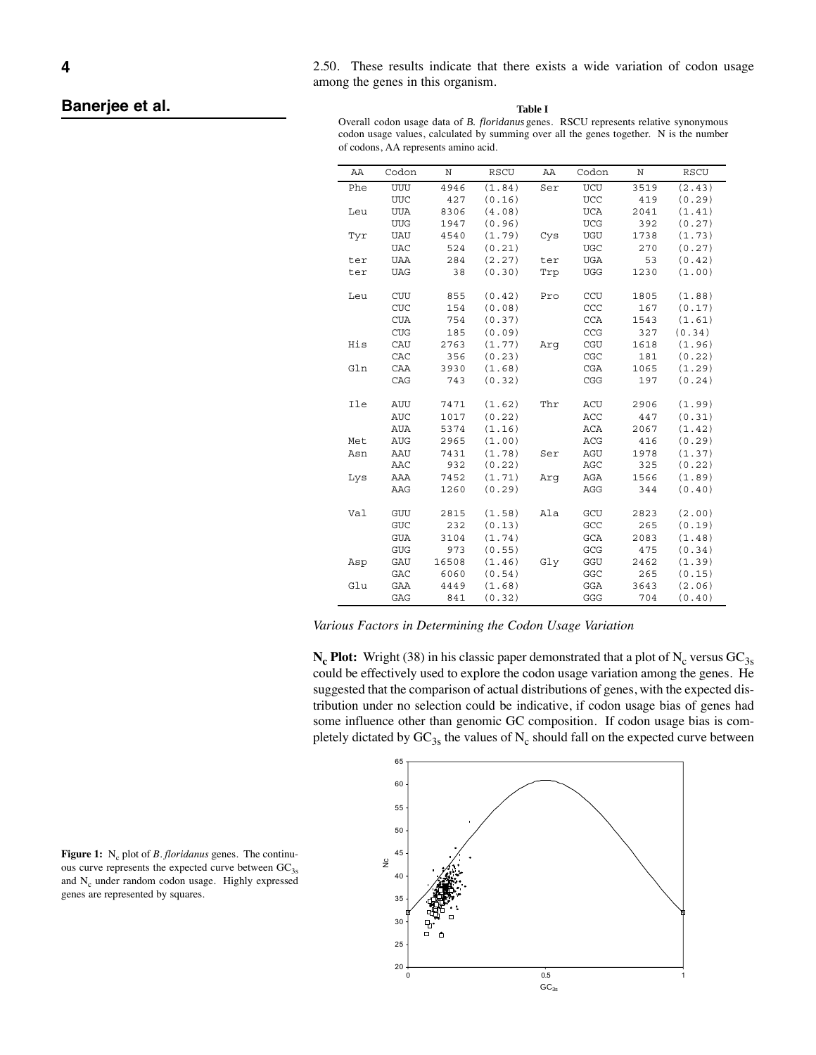2.50. These results indicate that there exists a wide variation of codon usage among the genes in this organism.

**Table I**

Overall codon usage data of *B. floridanus* genes. RSCU represents relative synonymous codon usage values, calculated by summing over all the genes together. N is the number of codons, AA represents amino acid.

| AA  | Codon      | Ν     | RSCU   | AA  | Codon                       | Ν    | RSCU   |
|-----|------------|-------|--------|-----|-----------------------------|------|--------|
| Phe | UUU        | 4946  | (1.84) | Ser | UCU                         | 3519 | (2.43) |
|     | <b>UUC</b> | 427   | (0.16) |     | <b>UCC</b>                  | 419  | (0.29) |
| Leu | <b>UUA</b> | 8306  | (4.08) |     | <b>UCA</b>                  | 2041 | (1.41) |
|     | <b>UUG</b> | 1947  | (0.96) |     | <b>UCG</b>                  | 392  | (0.27) |
| Tyr | <b>UAU</b> | 4540  | (1.79) | Cys | UGU                         | 1738 | (1.73) |
|     | <b>UAC</b> | 524   | (0.21) |     | <b>UGC</b>                  | 270  | (0.27) |
| ter | <b>UAA</b> | 284   | (2.27) | ter | <b>UGA</b>                  | 53   | (0.42) |
| ter | <b>UAG</b> | 38    | (0.30) | Trp | <b>UGG</b>                  | 1230 | (1.00) |
|     |            |       |        |     |                             |      |        |
| Leu | CUU        | 855   | (0.42) | Pro | CCU                         | 1805 | (1.88) |
|     | CUC        | 154   | (0.08) |     | CCC                         | 167  | (0.17) |
|     | <b>CUA</b> | 754   | (0.37) |     | <b>CCA</b>                  | 1543 | (1.61) |
|     | <b>CUG</b> | 185   | (0.09) |     | CCG                         | 327  | (0.34) |
| His | CAU        | 2763  | (1.77) | Arq | $\ensuremath{\mathsf{CGU}}$ | 1618 | (1.96) |
|     | CAC        | 356   | (0.23) |     | CGC                         | 181  | (0.22) |
| Gln | CAA        | 3930  | (1.68) |     | <b>CGA</b>                  | 1065 | (1.29) |
|     | CAG        | 743   | (0.32) |     | CGG                         | 197  | (0.24) |
|     |            |       |        |     |                             |      |        |
| Ile | AUU        | 7471  | (1.62) | Thr | ACU                         | 2906 | (1.99) |
|     | <b>AUC</b> | 1017  | (0.22) |     | ACC                         | 447  | (0.31) |
|     | <b>AUA</b> | 5374  | (1.16) |     | ACA                         | 2067 | (1.42) |
| Met | <b>AUG</b> | 2965  | (1.00) |     | ACG                         | 416  | (0.29) |
| Asn | AAU        | 7431  | (1.78) | Ser | AGU                         | 1978 | (1.37) |
|     | AAC        | 932   | (0.22) |     | AGC                         | 325  | (0.22) |
| Lys | AAA        | 7452  | (1.71) | Arq | AGA                         | 1566 | (1.89) |
|     | AAG        | 1260  | (0.29) |     | AGG                         | 344  | (0.40) |
| Val | GUU        | 2815  | (1.58) | Ala | GCU                         | 2823 | (2.00) |
|     | GUC        | 232   | (0.13) |     | GCC                         | 265  | (0.19) |
|     | <b>GUA</b> | 3104  | (1.74) |     | GCA                         | 2083 | (1.48) |
|     | GUG        | 973   | (0.55) |     | ${\bf GCG}$                 | 475  | (0.34) |
| Asp | GAU        | 16508 | (1.46) | Gly | GGU                         | 2462 | (1.39) |
|     | GAC        | 6060  | (0.54) |     | GGC                         | 265  | (0.15) |
| Glu | GAA        | 4449  | (1.68) |     | GGA                         | 3643 | (2.06) |
|     | GAG        | 841   | (0.32) |     | GGG                         | 704  | (0.40) |
|     |            |       |        |     |                             |      |        |

*Various Factors in Determining the Codon Usage Variation*

 $N_c$  **Plot:** Wright (38) in his classic paper demonstrated that a plot of  $N_c$  versus  $GC_{3s}$ could be effectively used to explore the codon usage variation among the genes. He suggested that the comparison of actual distributions of genes, with the expected distribution under no selection could be indicative, if codon usage bias of genes had some influence other than genomic GC composition. If codon usage bias is completely dictated by  $GC_{3s}$  the values of N<sub>c</sub> should fall on the expected curve between



**Figure 1:** N<sub>c</sub> plot of *B. floridanus* genes. The continuous curve represents the expected curve between  $GC_{3s}$ and  $N_c$  under random codon usage. Highly expressed genes are represented by squares.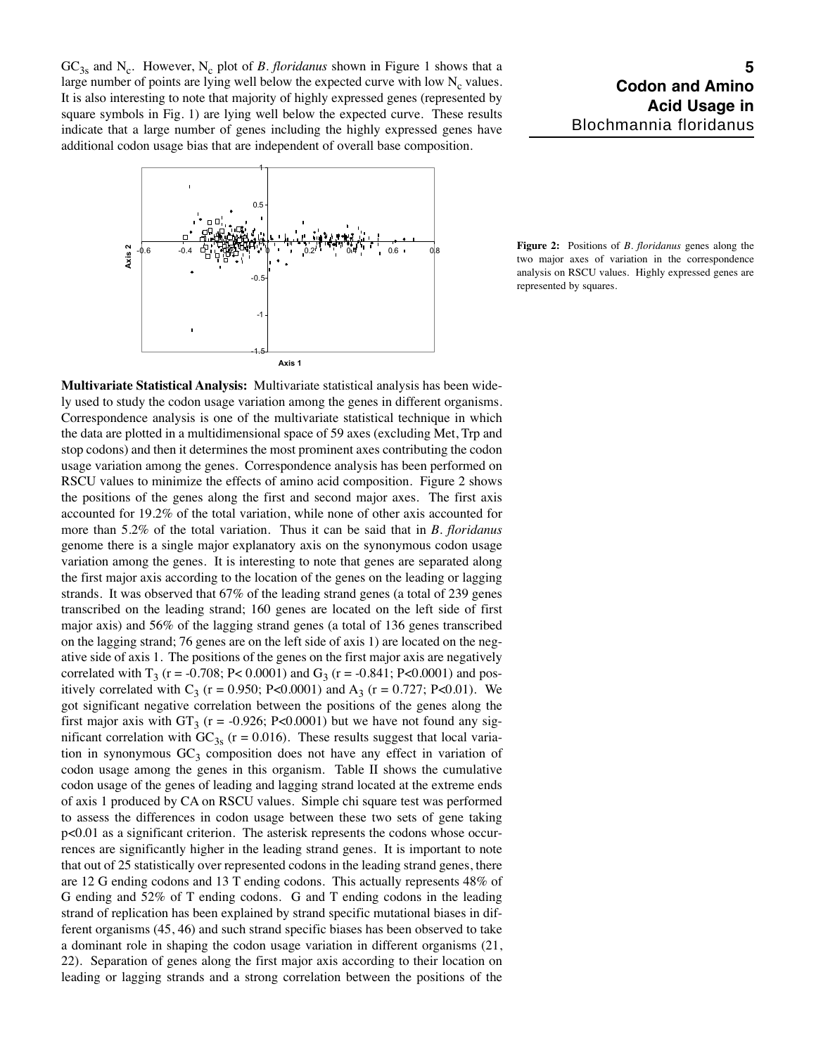$GC<sub>3s</sub>$  and N<sub>c</sub>. However, N<sub>c</sub> plot of *B. floridanus* shown in Figure 1 shows that a large number of points are lying well below the expected curve with low  $N_c$  values. It is also interesting to note that majority of highly expressed genes (represented by square symbols in Fig. 1) are lying well below the expected curve. These results indicate that a large number of genes including the highly expressed genes have additional codon usage bias that are independent of overall base composition.



**Figure 2:** Positions of *B. floridanus* genes along the two major axes of variation in the correspondence analysis on RSCU values. Highly expressed genes are represented by squares.

**Multivariate Statistical Analysis:** Multivariate statistical analysis has been widely used to study the codon usage variation among the genes in different organisms. Correspondence analysis is one of the multivariate statistical technique in which the data are plotted in a multidimensional space of 59 axes (excluding Met, Trp and stop codons) and then it determines the most prominent axes contributing the codon usage variation among the genes. Correspondence analysis has been performed on RSCU values to minimize the effects of amino acid composition. Figure 2 shows the positions of the genes along the first and second major axes. The first axis accounted for 19.2% of the total variation, while none of other axis accounted for more than 5.2% of the total variation. Thus it can be said that in *B. floridanus* genome there is a single major explanatory axis on the synonymous codon usage variation among the genes. It is interesting to note that genes are separated along the first major axis according to the location of the genes on the leading or lagging strands. It was observed that 67% of the leading strand genes (a total of 239 genes transcribed on the leading strand; 160 genes are located on the left side of first major axis) and 56% of the lagging strand genes (a total of 136 genes transcribed on the lagging strand; 76 genes are on the left side of axis 1) are located on the negative side of axis 1. The positions of the genes on the first major axis are negatively correlated with T<sub>3</sub> (r = -0.708; P< 0.0001) and G<sub>3</sub> (r = -0.841; P<0.0001) and positively correlated with C<sub>3</sub> (r = 0.950; P<0.0001) and A<sub>3</sub> (r = 0.727; P<0.01). We got significant negative correlation between the positions of the genes along the first major axis with  $GT_3$  (r = -0.926; P<0.0001) but we have not found any significant correlation with  $GC_{3s}$  (r = 0.016). These results suggest that local variation in synonymous  $GC_3$  composition does not have any effect in variation of codon usage among the genes in this organism. Table II shows the cumulative codon usage of the genes of leading and lagging strand located at the extreme ends of axis 1 produced by CA on RSCU values. Simple chi square test was performed to assess the differences in codon usage between these two sets of gene taking p<0.01 as a significant criterion. The asterisk represents the codons whose occurrences are significantly higher in the leading strand genes. It is important to note that out of 25 statistically over represented codons in the leading strand genes, there are 12 G ending codons and 13 T ending codons. This actually represents 48% of G ending and 52% of T ending codons. G and T ending codons in the leading strand of replication has been explained by strand specific mutational biases in different organisms (45, 46) and such strand specific biases has been observed to take a dominant role in shaping the codon usage variation in different organisms (21, 22). Separation of genes along the first major axis according to their location on leading or lagging strands and a strong correlation between the positions of the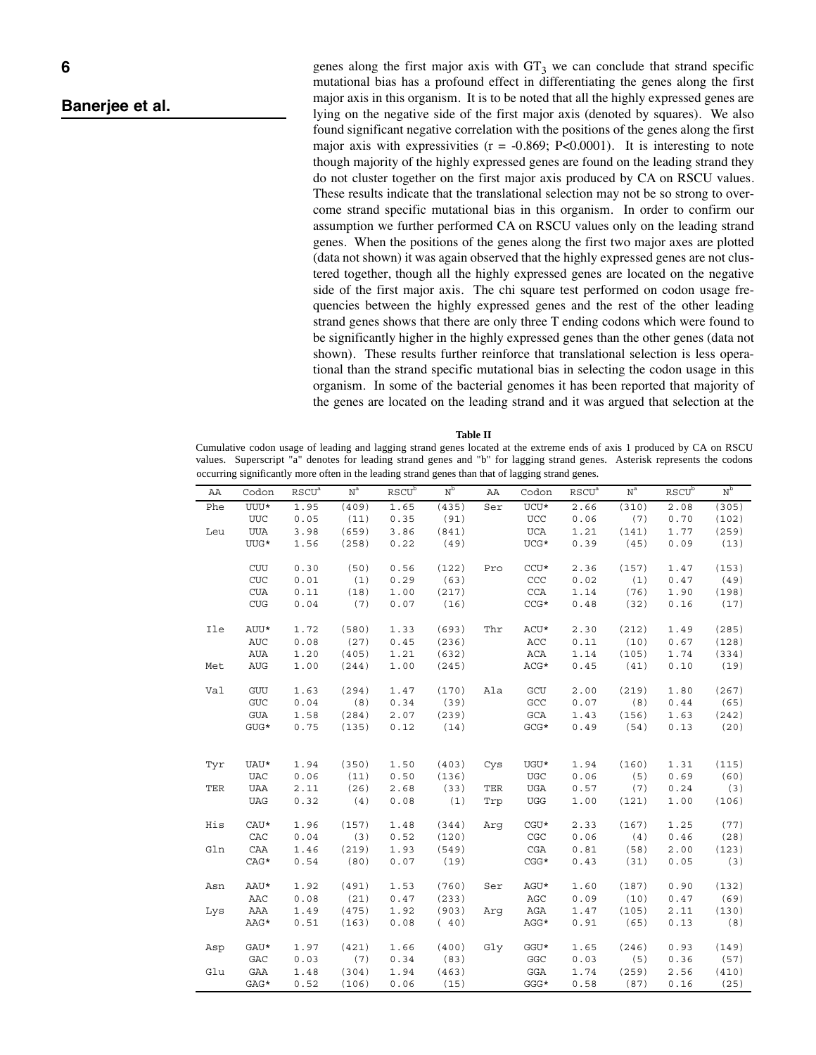genes along the first major axis with  $GT_3$  we can conclude that strand specific mutational bias has a profound effect in differentiating the genes along the first major axis in this organism. It is to be noted that all the highly expressed genes are lying on the negative side of the first major axis (denoted by squares). We also found significant negative correlation with the positions of the genes along the first major axis with expressivities  $(r = -0.869; P < 0.0001)$ . It is interesting to note though majority of the highly expressed genes are found on the leading strand they do not cluster together on the first major axis produced by CA on RSCU values. These results indicate that the translational selection may not be so strong to overcome strand specific mutational bias in this organism. In order to confirm our assumption we further performed CA on RSCU values only on the leading strand genes. When the positions of the genes along the first two major axes are plotted (data not shown) it was again observed that the highly expressed genes are not clustered together, though all the highly expressed genes are located on the negative side of the first major axis. The chi square test performed on codon usage frequencies between the highly expressed genes and the rest of the other leading strand genes shows that there are only three T ending codons which were found to be significantly higher in the highly expressed genes than the other genes (data not shown). These results further reinforce that translational selection is less operational than the strand specific mutational bias in selecting the codon usage in this organism. In some of the bacterial genomes it has been reported that majority of the genes are located on the leading strand and it was argued that selection at the

**Table II**

Cumulative codon usage of leading and lagging strand genes located at the extreme ends of axis 1 produced by CA on RSCU values. Superscript "a" denotes for leading strand genes and "b" for lagging strand genes. Asterisk represents the codons occurring significantly more often in the leading strand genes than that of lagging strand genes.

| ΑA  | Codon         | <b>RSCU<sup>a</sup></b> | $\mbox{N}^{\mbox{a}}$ | $RS\overline{CU}^b$ | N <sub>p</sub> | AA  | Codon                | <b>RSCU<sup>a</sup></b> | $\mbox{N}^{\mbox{a}}$ | <b>RSCU</b> <sup>b</sup> | $\rm N_p$ |
|-----|---------------|-------------------------|-----------------------|---------------------|----------------|-----|----------------------|-------------------------|-----------------------|--------------------------|-----------|
| Phe | $UUU^{\star}$ | 1.95                    | (409)                 | 1.65                | (435)          | Ser | $UCU^{\star}$        | 2.66                    | (310)                 | 2.08                     | (305)     |
|     | <b>UUC</b>    | 0.05                    | (11)                  | 0.35                | (91)           |     | <b>UCC</b>           | 0.06                    | (7)                   | 0.70                     | (102)     |
| Leu | <b>UUA</b>    | 3.98                    | (659)                 | 3.86                | (841)          |     | UCA                  | 1.21                    | (141)                 | 1.77                     | (259)     |
|     | UUG*          | 1.56                    | (258)                 | 0.22                | (49)           |     | $UCG*$               | 0.39                    | (45)                  | 0.09                     | (13)      |
|     |               |                         |                       |                     |                |     |                      |                         |                       |                          |           |
|     | <b>CUU</b>    | 0.30                    | (50)                  | 0.56                | (122)          | Pro | $CCU*$               | 2.36                    | (157)                 | 1.47                     | (153)     |
|     | CUC           | 0.01                    | (1)                   | 0.29                | (63)           |     | CCC                  | 0.02                    | (1)                   | 0.47                     | (49)      |
|     | $\rm CUA$     | 0.11                    | (18)                  | 1.00                | (217)          |     | CCA                  | 1.14                    | (76)                  | 1.90                     | (198)     |
|     | ${\rm CUG}$   | 0.04                    | (7)                   | 0.07                | (16)           |     | $CCG*$               | 0.48                    | (32)                  | 0.16                     | (17)      |
| Ile | AUU*          | 1.72                    | (580)                 | 1.33                | (693)          | Thr | ACU*                 | 2.30                    | (212)                 | 1.49                     | (285)     |
|     | <b>AUC</b>    | 0.08                    | (27)                  | 0.45                | (236)          |     | ACC                  | 0.11                    | (10)                  | 0.67                     | (128)     |
|     | AUA           | 1.20                    | (405)                 | 1.21                | (632)          |     | ACA                  | 1.14                    | (105)                 | 1.74                     | (334)     |
| Met | <b>AUG</b>    | 1.00                    | (244)                 | 1.00                | (245)          |     | ACG*                 | 0.45                    | (41)                  | 0.10                     | (19)      |
| Val | GUU           | 1.63                    | (294)                 | 1.47                | (170)          | Ala | GCU                  | 2.00                    | (219)                 | 1.80                     | (267)     |
|     | ${\tt GUC}$   | 0.04                    | (8)                   | 0.34                | (39)           |     | $\operatorname{GCC}$ | 0.07                    | (8)                   | 0.44                     | (65)      |
|     | <b>GUA</b>    | 1.58                    | (284)                 | 2.07                | (239)          |     | GCA                  | 1.43                    | (156)                 | 1.63                     | (242)     |
|     | $GUG*$        | 0.75                    | (135)                 | 0.12                | (14)           |     | $GCG*$               | 0.49                    | (54)                  | 0.13                     | (20)      |
|     |               |                         |                       |                     |                |     |                      |                         |                       |                          |           |
| Tyr | UAU*          | 1.94                    | (350)                 | 1.50                | (403)          | Cys | UGU*                 | 1.94                    | (160)                 | 1.31                     | (115)     |
|     | <b>UAC</b>    | 0.06                    | (11)                  | 0.50                | (136)          |     | <b>UGC</b>           | 0.06                    | (5)                   | 0.69                     | (60)      |
| TER | UAA           | 2.11                    | (26)                  | 2.68                | (33)           | TER | UGA                  | 0.57                    | (7)                   | 0.24                     | (3)       |
|     | <b>UAG</b>    | 0.32                    | (4)                   | 0.08                | (1)            | Trp | $_{\rm UGG}$         | 1.00                    | (121)                 | 1.00                     | (106)     |
| His | $CAU*$        | 1.96                    | (157)                 | 1.48                | (344)          | Arq | $CGU*$               | 2.33                    | (167)                 | 1.25                     | (77)      |
|     | CAC           | 0.04                    | (3)                   | 0.52                | (120)          |     | CGC                  | 0.06                    | (4)                   | 0.46                     | (28)      |
| Gln | CAA           | 1.46                    | (219)                 | 1.93                | (549)          |     | CGA                  | 0.81                    | (58)                  | 2.00                     | (123)     |
|     | $CAG*$        | 0.54                    | (80)                  | 0.07                | (19)           |     | $CGG*$               | 0.43                    | (31)                  | 0.05                     | (3)       |
| Asn | AAU*          | 1.92                    | (491)                 | 1.53                | (760)          | Ser | AGU*                 | 1.60                    | (187)                 | 0.90                     | (132)     |
|     | AAC           | 0.08                    | (21)                  | 0.47                | (233)          |     | AGC                  | 0.09                    | (10)                  | 0.47                     | (69)      |
| Lys | AAA           | 1.49                    | (475)                 | 1.92                | (903)          | Arq | AGA                  | 1.47                    | (105)                 | 2.11                     | (130)     |
|     | AAG*          | 0.51                    | (163)                 | 0.08                | (40)           |     | AGG*                 | 0.91                    | (65)                  | 0.13                     | (8)       |
| Asp | $GAU*$        | 1.97                    | (421)                 | 1.66                | (400)          | Gly | $GGU*$               | 1.65                    | (246)                 | 0.93                     | (149)     |
|     | GAC           | 0.03                    | (7)                   | 0.34                | (83)           |     | GGC                  | 0.03                    | (5)                   | 0.36                     | (57)      |
| Glu | GAA           | 1.48                    | (304)                 | 1.94                | (463)          |     | GGA                  | 1.74                    | (259)                 | 2.56                     | (410)     |
|     | GAG*          | 0.52                    | (106)                 | 0.06                | (15)           |     | $GGG*$               | 0.58                    | (87)                  | 0.16                     | (25)      |
|     |               |                         |                       |                     |                |     |                      |                         |                       |                          |           |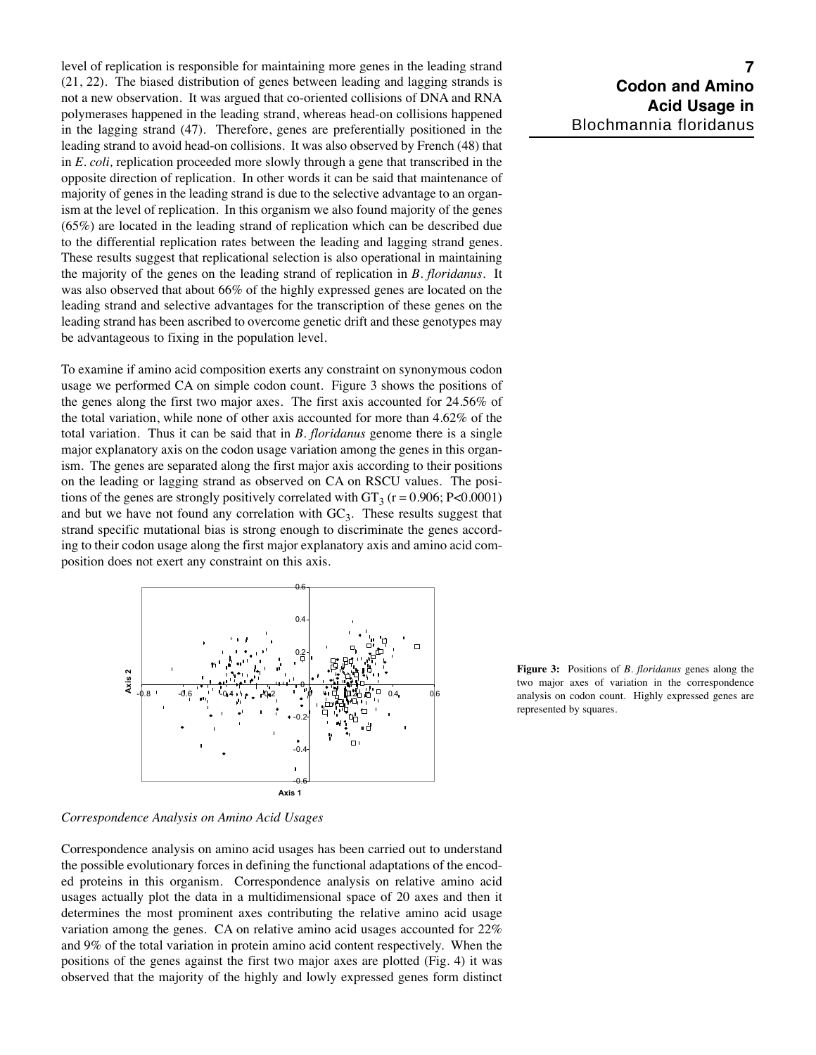level of replication is responsible for maintaining more genes in the leading strand (21, 22). The biased distribution of genes between leading and lagging strands is not a new observation. It was argued that co-oriented collisions of DNA and RNA polymerases happened in the leading strand, whereas head-on collisions happened in the lagging strand (47). Therefore, genes are preferentially positioned in the leading strand to avoid head-on collisions. It was also observed by French (48) that in *E. coli,* replication proceeded more slowly through a gene that transcribed in the opposite direction of replication. In other words it can be said that maintenance of majority of genes in the leading strand is due to the selective advantage to an organism at the level of replication. In this organism we also found majority of the genes (65%) are located in the leading strand of replication which can be described due to the differential replication rates between the leading and lagging strand genes. These results suggest that replicational selection is also operational in maintaining the majority of the genes on the leading strand of replication in *B. floridanus.* It was also observed that about 66% of the highly expressed genes are located on the leading strand and selective advantages for the transcription of these genes on the leading strand has been ascribed to overcome genetic drift and these genotypes may be advantageous to fixing in the population level.

To examine if amino acid composition exerts any constraint on synonymous codon usage we performed CA on simple codon count. Figure 3 shows the positions of the genes along the first two major axes. The first axis accounted for 24.56% of the total variation, while none of other axis accounted for more than 4.62% of the total variation. Thus it can be said that in *B. floridanus* genome there is a single major explanatory axis on the codon usage variation among the genes in this organism. The genes are separated along the first major axis according to their positions on the leading or lagging strand as observed on CA on RSCU values. The positions of the genes are strongly positively correlated with  $GT_3$  (r = 0.906; P<0.0001) and but we have not found any correlation with  $GC<sub>3</sub>$ . These results suggest that strand specific mutational bias is strong enough to discriminate the genes according to their codon usage along the first major explanatory axis and amino acid composition does not exert any constraint on this axis.



**Figure 3:** Positions of *B. floridanus* genes along the two major axes of variation in the correspondence analysis on codon count. Highly expressed genes are represented by squares.

*Correspondence Analysis on Amino Acid Usages*

Correspondence analysis on amino acid usages has been carried out to understand the possible evolutionary forces in defining the functional adaptations of the encoded proteins in this organism. Correspondence analysis on relative amino acid usages actually plot the data in a multidimensional space of 20 axes and then it determines the most prominent axes contributing the relative amino acid usage variation among the genes. CA on relative amino acid usages accounted for 22% and 9% of the total variation in protein amino acid content respectively. When the positions of the genes against the first two major axes are plotted (Fig. 4) it was observed that the majority of the highly and lowly expressed genes form distinct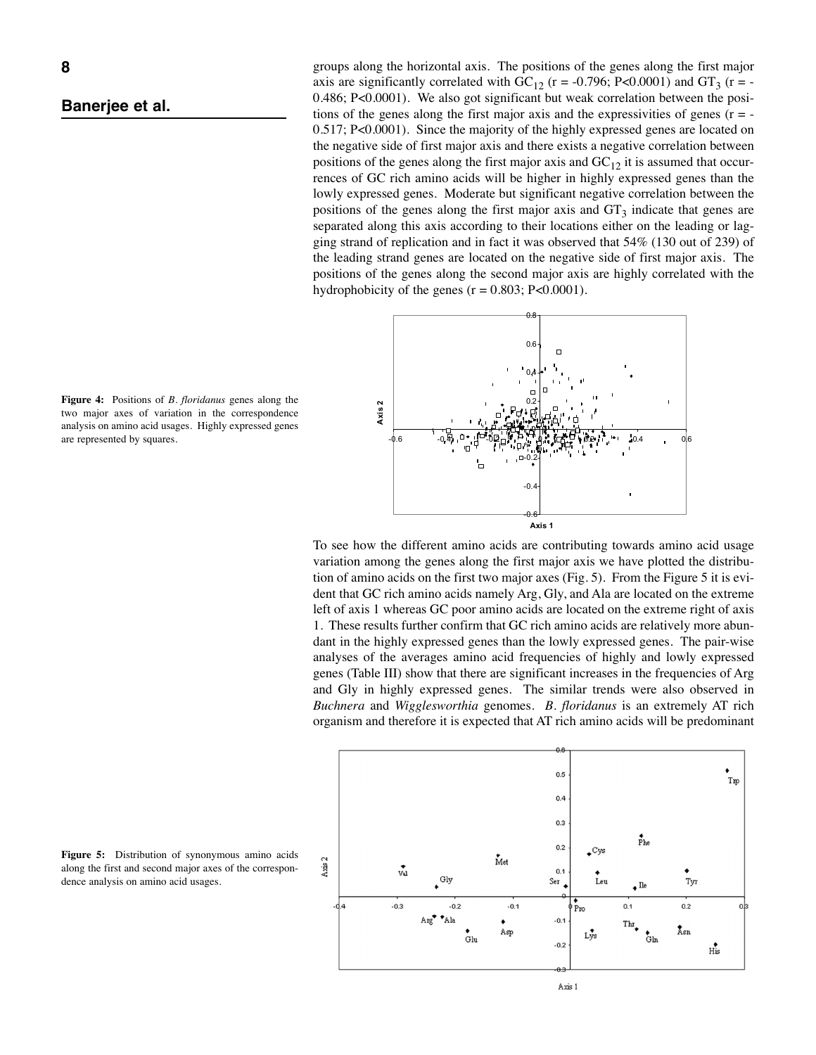groups along the horizontal axis. The positions of the genes along the first major axis are significantly correlated with  $GC_{12}$  (r = -0.796; P<0.0001) and  $GT_3$  (r = -0.486; P<0.0001). We also got significant but weak correlation between the positions of the genes along the first major axis and the expressivities of genes  $(r = -1)$ 0.517; P<0.0001). Since the majority of the highly expressed genes are located on the negative side of first major axis and there exists a negative correlation between positions of the genes along the first major axis and  $GC_{12}$  it is assumed that occurrences of GC rich amino acids will be higher in highly expressed genes than the lowly expressed genes. Moderate but significant negative correlation between the positions of the genes along the first major axis and  $GT_3$  indicate that genes are separated along this axis according to their locations either on the leading or lagging strand of replication and in fact it was observed that 54% (130 out of 239) of the leading strand genes are located on the negative side of first major axis. The positions of the genes along the second major axis are highly correlated with the hydrophobicity of the genes  $(r = 0.803; P < 0.0001)$ .

![](_page_7_Figure_3.jpeg)

To see how the different amino acids are contributing towards amino acid usage variation among the genes along the first major axis we have plotted the distribution of amino acids on the first two major axes (Fig. 5). From the Figure 5 it is evident that GC rich amino acids namely Arg, Gly, and Ala are located on the extreme left of axis 1 whereas GC poor amino acids are located on the extreme right of axis 1. These results further confirm that GC rich amino acids are relatively more abundant in the highly expressed genes than the lowly expressed genes. The pair-wise analyses of the averages amino acid frequencies of highly and lowly expressed genes (Table III) show that there are significant increases in the frequencies of Arg and Gly in highly expressed genes. The similar trends were also observed in *Buchnera* and *Wigglesworthia* genomes. *B. floridanus* is an extremely AT rich organism and therefore it is expected that AT rich amino acids will be predominant

![](_page_7_Figure_5.jpeg)

**Figure 4:** Positions of *B. floridanus* genes along the two major axes of variation in the correspondence analysis on amino acid usages. Highly expressed genes are represented by squares.

**Figure 5:** Distribution of synonymous amino acids along the first and second major axes of the correspondence analysis on amino acid usages.

![](_page_7_Figure_8.jpeg)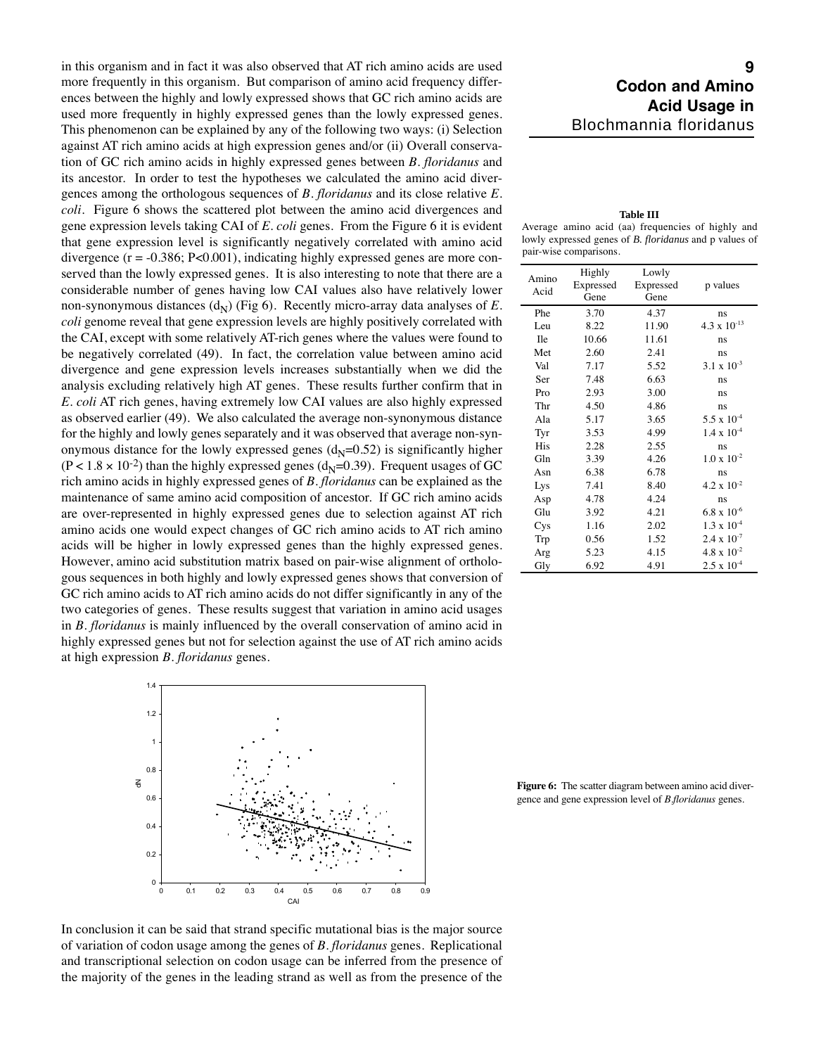in this organism and in fact it was also observed that AT rich amino acids are used more frequently in this organism. But comparison of amino acid frequency differences between the highly and lowly expressed shows that GC rich amino acids are used more frequently in highly expressed genes than the lowly expressed genes. This phenomenon can be explained by any of the following two ways: (i) Selection against AT rich amino acids at high expression genes and/or (ii) Overall conservation of GC rich amino acids in highly expressed genes between *B. floridanus* and its ancestor. In order to test the hypotheses we calculated the amino acid divergences among the orthologous sequences of *B. floridanus* and its close relative *E. coli*. Figure 6 shows the scattered plot between the amino acid divergences and gene expression levels taking CAI of *E. coli* genes. From the Figure 6 it is evident that gene expression level is significantly negatively correlated with amino acid divergence  $(r = -0.386; P < 0.001)$ , indicating highly expressed genes are more conserved than the lowly expressed genes. It is also interesting to note that there are a considerable number of genes having low CAI values also have relatively lower non-synonymous distances  $(d_N)$  (Fig 6). Recently micro-array data analyses of *E*. *coli* genome reveal that gene expression levels are highly positively correlated with the CAI, except with some relatively AT-rich genes where the values were found to be negatively correlated (49). In fact, the correlation value between amino acid divergence and gene expression levels increases substantially when we did the analysis excluding relatively high AT genes. These results further confirm that in *E. coli* AT rich genes, having extremely low CAI values are also highly expressed as observed earlier (49). We also calculated the average non-synonymous distance for the highly and lowly genes separately and it was observed that average non-synonymous distance for the lowly expressed genes  $(d_N=0.52)$  is significantly higher  $(P < 1.8 \times 10^{-2})$  than the highly expressed genes  $(d_N=0.39)$ . Frequent usages of GC rich amino acids in highly expressed genes of *B. floridanus* can be explained as the maintenance of same amino acid composition of ancestor. If GC rich amino acids are over-represented in highly expressed genes due to selection against AT rich amino acids one would expect changes of GC rich amino acids to AT rich amino acids will be higher in lowly expressed genes than the highly expressed genes. However, amino acid substitution matrix based on pair-wise alignment of orthologous sequences in both highly and lowly expressed genes shows that conversion of GC rich amino acids to AT rich amino acids do not differ significantly in any of the two categories of genes. These results suggest that variation in amino acid usages in *B. floridanus* is mainly influenced by the overall conservation of amino acid in highly expressed genes but not for selection against the use of AT rich amino acids at high expression *B. floridanus* genes.

![](_page_8_Figure_1.jpeg)

# *9 Codon and Amino Acid Usage in* Blochmannia floridanus

**Table III** Average amino acid (aa) frequencies of highly and lowly expressed genes of *B. floridanus* and p values of pair-wise comparisons.

| Amino<br>Acid | Highly<br>Expressed<br>Gene | Lowly<br>Expressed<br>Gene | p values              |  |
|---------------|-----------------------------|----------------------------|-----------------------|--|
| Phe           | 3.70                        | 4.37                       | ns                    |  |
| Leu           | 8.22                        | 11.90                      | $4.3 \times 10^{-13}$ |  |
| <b>Ile</b>    | 10.66                       | 11.61                      | ns                    |  |
| Met           | 2.60                        | 2.41                       | ns                    |  |
| Val           | 7.17                        | 5.52                       | $3.1 \times 10^{-3}$  |  |
| Ser           | 7.48                        | 6.63                       | ns                    |  |
| Pro           | 2.93                        | 3.00                       | ns                    |  |
| Thr           | 4.50                        | 4.86                       | ns                    |  |
| Ala           | 5.17                        | 3.65                       | $5.5 \times 10^{-4}$  |  |
| Tyr           | 3.53                        | 4.99                       | $1.4 \times 10^{-4}$  |  |
| His           | 2.28                        | 2.55                       | ns                    |  |
| Gln           | 3.39                        | 4.26                       | $1.0 \times 10^{-2}$  |  |
| Asn           | 6.38                        | 6.78                       | ns                    |  |
| Lys           | 7.41                        | 8.40                       | $4.2 \times 10^{-2}$  |  |
| Asp           | 4.78                        | 4.24                       | ns                    |  |
| Glu           | 3.92                        | 4.21                       | $6.8 \times 10^{-6}$  |  |
| Cys           | 1.16                        | 2.02                       | $1.3 \times 10^{-4}$  |  |
| Trp           | 0.56                        | 1.52                       | $2.4 \times 10^{-7}$  |  |
| Arg           | 5.23                        | 4.15                       | $4.8 \times 10^{-2}$  |  |
| Gly           | 6.92                        | 4.91                       | $2.5 \times 10^{-4}$  |  |

**Figure 6:** The scatter diagram between amino acid divergence and gene expression level of *B.floridanus* genes.

In conclusion it can be said that strand specific mutational bias is the major source of variation of codon usage among the genes of *B. floridanus* genes. Replicational and transcriptional selection on codon usage can be inferred from the presence of the majority of the genes in the leading strand as well as from the presence of the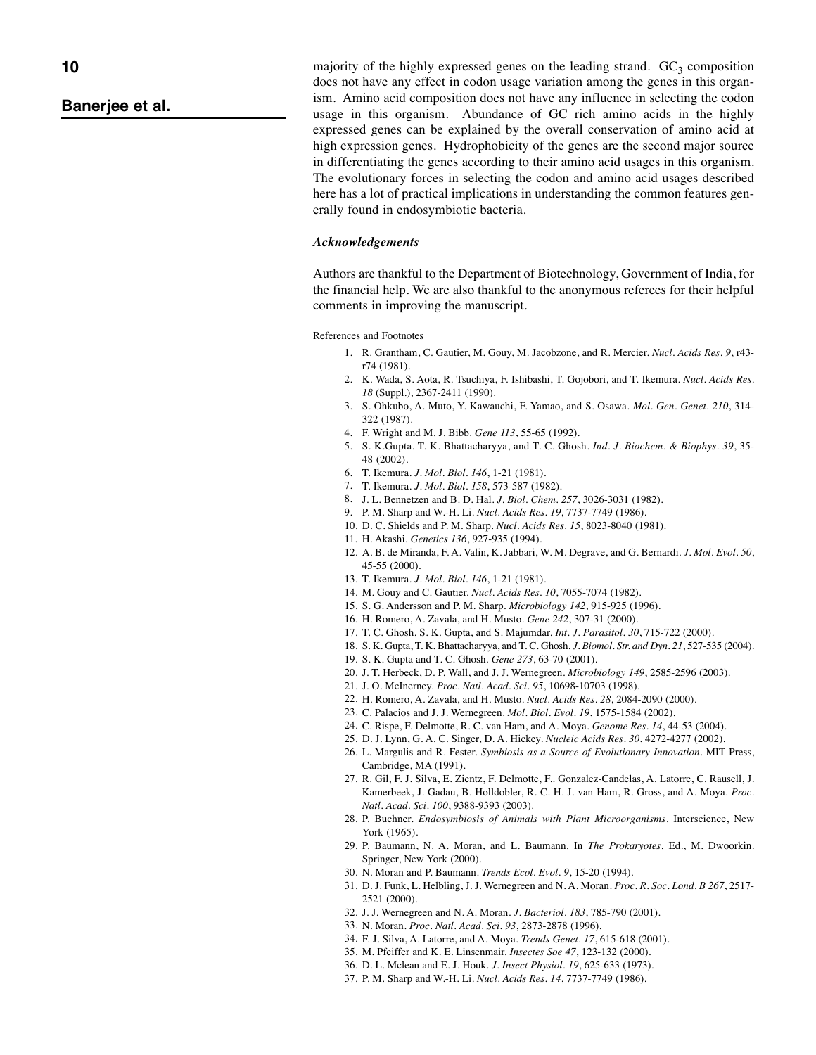majority of the highly expressed genes on the leading strand.  $GC_3$  composition does not have any effect in codon usage variation among the genes in this organism. Amino acid composition does not have any influence in selecting the codon usage in this organism. Abundance of GC rich amino acids in the highly expressed genes can be explained by the overall conservation of amino acid at high expression genes. Hydrophobicity of the genes are the second major source in differentiating the genes according to their amino acid usages in this organism. The evolutionary forces in selecting the codon and amino acid usages described here has a lot of practical implications in understanding the common features generally found in endosymbiotic bacteria.

#### *Acknowledgements*

Authors are thankful to the Department of Biotechnology, Government of India, for the financial help. We are also thankful to the anonymous referees for their helpful comments in improving the manuscript.

References and Footnotes

- 1. R. Grantham, C. Gautier, M. Gouy, M. Jacobzone, and R. Mercier. *Nucl. Acids Res. 9*, r43 r74 (1981).
- 2. K. Wada, S. Aota, R. Tsuchiya, F. Ishibashi, T. Gojobori, and T. Ikemura. *Nucl. Acids Res. 18* (Suppl.), 2367-2411 (1990).
- 3. S. Ohkubo, A. Muto, Y. Kawauchi, F. Yamao, and S. Osawa. *Mol. Gen. Genet. 210*, 314- 322 (1987).
- 4. F. Wright and M. J. Bibb. *Gene 113*, 55-65 (1992).
- 5. S. K.Gupta. T. K. Bhattacharyya, and T. C. Ghosh. *Ind. J. Biochem. & Biophys. 39*, 35- 48 (2002).
- 6. T. Ikemura. *J. Mol. Biol. 146*, 1-21 (1981).
- 7. T. Ikemura. *J. Mol. Biol. 158*, 573-587 (1982).
- 8. J. L. Bennetzen and B. D. Hal. *J. Biol. Chem. 257*, 3026-3031 (1982).
- 9. P. M. Sharp and W.-H. Li. *Nucl. Acids Res. 19*, 7737-7749 (1986).
- 10. D. C. Shields and P. M. Sharp. *Nucl. Acids Res. 15*, 8023-8040 (1981).
- 11. H. Akashi. *Genetics 136*, 927-935 (1994).
- 12. A. B. de Miranda, F. A. Valin, K. Jabbari, W. M. Degrave, and G. Bernardi. *J. Mol. Evol. 50*, 45-55 (2000).
- 13. T. Ikemura. *J. Mol. Biol. 146*, 1-21 (1981).
- 14. M. Gouy and C. Gautier. *Nucl. Acids Res. 10*, 7055-7074 (1982).
- 15. S. G. Andersson and P. M. Sharp. *Microbiology 142*, 915-925 (1996).
- 16. H. Romero, A. Zavala, and H. Musto. *Gene 242*, 307-31 (2000).
- 17. T. C. Ghosh, S. K. Gupta, and S. Majumdar. *Int. J. Parasitol. 30*, 715-722 (2000).
- 18. S. K. Gupta, T. K. Bhattacharyya, and T. C. Ghosh. *J. Biomol. Str. and Dyn. 21*, 527-535 (2004).
- 19. S. K. Gupta and T. C. Ghosh. *Gene 273*, 63-70 (2001).
- 20. J. T. Herbeck, D. P. Wall, and J. J. Wernegreen. *Microbiology 149*, 2585-2596 (2003).
- 21. J. O. McInerney. *Proc. Natl. Acad. Sci. 95*, 10698-10703 (1998).
- 22. H. Romero, A. Zavala, and H. Musto. *Nucl. Acids Res. 28*, 2084-2090 (2000).
- 23. C. Palacios and J. J. Wernegreen. *Mol. Biol. Evol. 19*, 1575-1584 (2002).
- 24. C. Rispe, F. Delmotte, R. C. van Ham, and A. Moya. *Genome Res. 14*, 44-53 (2004).
- 25. D. J. Lynn, G. A. C. Singer, D. A. Hickey. *Nucleic Acids Res. 30*, 4272-4277 (2002).
- 26. L. Margulis and R. Fester. *Symbiosis as a Source of Evolutionary Innovation*. MIT Press, Cambridge, MA (1991).
- 27. R. Gil, F. J. Silva, E. Zientz, F. Delmotte, F.. Gonzalez-Candelas, A. Latorre, C. Rausell, J. Kamerbeek, J. Gadau, B. Holldobler, R. C. H. J. van Ham, R. Gross, and A. Moya. *Proc. Natl. Acad. Sci. 100*, 9388-9393 (2003).
- 28. P. Buchner. *Endosymbiosis of Animals with Plant Microorganisms*. Interscience, New York (1965).
- 29. P. Baumann, N. A. Moran, and L. Baumann. In *The Prokaryotes*. Ed., M. Dwoorkin. Springer, New York (2000).
- 30. N. Moran and P. Baumann. *Trends Ecol. Evol. 9*, 15-20 (1994).
- 31. D. J. Funk, L. Helbling, J. J. Wernegreen and N. A. Moran. *Proc. R. Soc. Lond. B 267*, 2517- 2521 (2000).
- 32. J. J. Wernegreen and N. A. Moran. *J. Bacteriol. 183*, 785-790 (2001).
- 33. N. Moran. *Proc. Natl. Acad. Sci. 93*, 2873-2878 (1996).
- 34. F. J. Silva, A. Latorre, and A. Moya. *Trends Genet. 17*, 615-618 (2001).
- 35. M. Pfeiffer and K. E. Linsenmair. *Insectes Soe 47*, 123-132 (2000).
- 36. D. L. Mclean and E. J. Houk. *J. Insect Physiol. 19*, 625-633 (1973).
- 37. P. M. Sharp and W.-H. Li. *Nucl. Acids Res. 14*, 7737-7749 (1986).

*10*

# *Banerjee et al.*